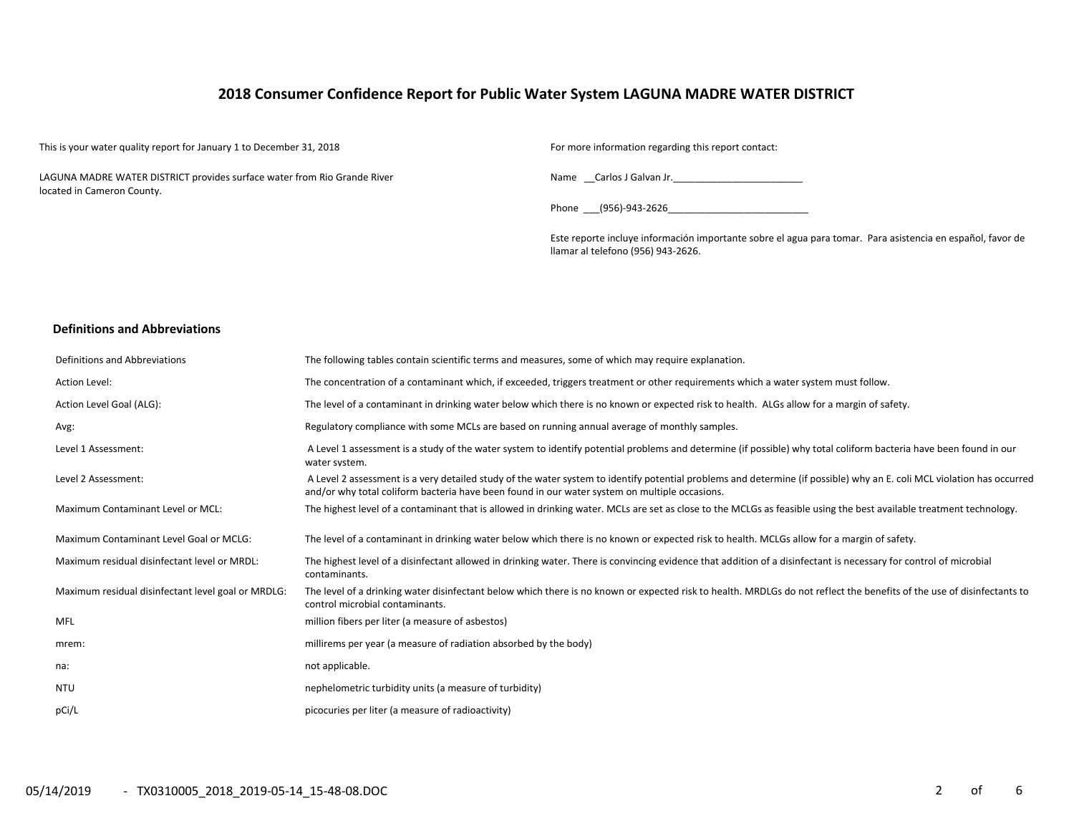# **2018 Consumer Confidence Report for Public Water System LAGUNA MADRE WATER DISTRICT**

This is your water quality report for January 1 to December 31, 2018 For more information regarding this report contact:

LAGUNA MADRE WATER DISTRICT provides surface water from Rio Grande River located in Cameron County.

Name \_\_Carlos J Galvan Jr.\_\_\_\_\_\_\_\_\_\_\_\_\_\_\_\_\_\_\_\_\_\_\_\_

Phone \_\_\_(956)-943-2626\_\_\_\_\_\_\_\_\_\_\_\_\_\_\_\_\_\_\_\_\_\_\_\_\_\_

Este reporte incluye información importante sobre el agua para tomar. Para asistencia en español, favor de llamar al telefono (956) 943-2626.

### **Definitions and Abbreviations**

| Definitions and Abbreviations                      | The following tables contain scientific terms and measures, some of which may require explanation.                                                                                                                                                                      |
|----------------------------------------------------|-------------------------------------------------------------------------------------------------------------------------------------------------------------------------------------------------------------------------------------------------------------------------|
| Action Level:                                      | The concentration of a contaminant which, if exceeded, triggers treatment or other requirements which a water system must follow.                                                                                                                                       |
| Action Level Goal (ALG):                           | The level of a contaminant in drinking water below which there is no known or expected risk to health. ALGs allow for a margin of safety.                                                                                                                               |
| Avg:                                               | Regulatory compliance with some MCLs are based on running annual average of monthly samples.                                                                                                                                                                            |
| Level 1 Assessment:                                | A Level 1 assessment is a study of the water system to identify potential problems and determine (if possible) why total coliform bacteria have been found in our<br>water system.                                                                                      |
| Level 2 Assessment:                                | A Level 2 assessment is a very detailed study of the water system to identify potential problems and determine (if possible) why an E. coli MCL violation has occurred<br>and/or why total coliform bacteria have been found in our water system on multiple occasions. |
| <b>Maximum Contaminant Level or MCL:</b>           | The highest level of a contaminant that is allowed in drinking water. MCLs are set as close to the MCLGs as feasible using the best available treatment technology.                                                                                                     |
| Maximum Contaminant Level Goal or MCLG:            | The level of a contaminant in drinking water below which there is no known or expected risk to health. MCLGs allow for a margin of safety.                                                                                                                              |
| Maximum residual disinfectant level or MRDL:       | The highest level of a disinfectant allowed in drinking water. There is convincing evidence that addition of a disinfectant is necessary for control of microbial<br>contaminants.                                                                                      |
| Maximum residual disinfectant level goal or MRDLG: | The level of a drinking water disinfectant below which there is no known or expected risk to health. MRDLGs do not reflect the benefits of the use of disinfectants to<br>control microbial contaminants.                                                               |
| MFL                                                | million fibers per liter (a measure of asbestos)                                                                                                                                                                                                                        |
| mrem:                                              | millirems per year (a measure of radiation absorbed by the body)                                                                                                                                                                                                        |
| na:                                                | not applicable.                                                                                                                                                                                                                                                         |
| <b>NTU</b>                                         | nephelometric turbidity units (a measure of turbidity)                                                                                                                                                                                                                  |
| pCi/L                                              | picocuries per liter (a measure of radioactivity)                                                                                                                                                                                                                       |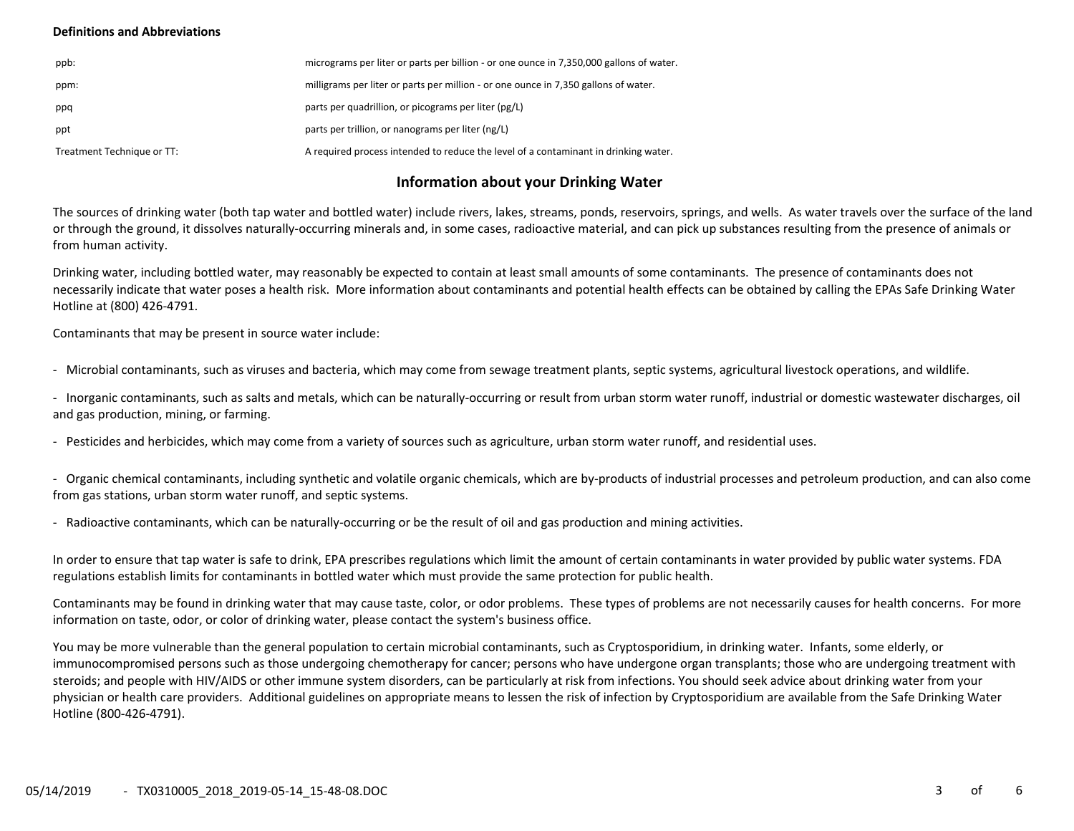### **Definitions and Abbreviations**

| ppb:                       | micrograms per liter or parts per billion - or one ounce in 7,350,000 gallons of water. |
|----------------------------|-----------------------------------------------------------------------------------------|
| ppm:                       | milligrams per liter or parts per million - or one ounce in 7,350 gallons of water.     |
| ppq                        | parts per quadrillion, or picograms per liter (pg/L)                                    |
| ppt                        | parts per trillion, or nanograms per liter (ng/L)                                       |
| Treatment Technique or TT: | A required process intended to reduce the level of a contaminant in drinking water.     |

# **Information about your Drinking Water**

The sources of drinking water (both tap water and bottled water) include rivers, lakes, streams, ponds, reservoirs, springs, and wells. As water travels over the surface of the land or through the ground, it dissolves naturally-occurring minerals and, in some cases, radioactive material, and can pick up substances resulting from the presence of animals or from human activity.

Drinking water, including bottled water, may reasonably be expected to contain at least small amounts of some contaminants. The presence of contaminants does not necessarily indicate that water poses a health risk. More information about contaminants and potential health effects can be obtained by calling the EPAs Safe Drinking Water Hotline at (800) 426-4791.

Contaminants that may be present in source water include:

- Microbial contaminants, such as viruses and bacteria, which may come from sewage treatment plants, septic systems, agricultural livestock operations, and wildlife.

- Inorganic contaminants, such as salts and metals, which can be naturally-occurring or result from urban storm water runoff, industrial or domestic wastewater discharges, oil and gas production, mining, or farming.

- Pesticides and herbicides, which may come from a variety of sources such as agriculture, urban storm water runoff, and residential uses.

- Organic chemical contaminants, including synthetic and volatile organic chemicals, which are by-products of industrial processes and petroleum production, and can also come from gas stations, urban storm water runoff, and septic systems.

- Radioactive contaminants, which can be naturally-occurring or be the result of oil and gas production and mining activities.

In order to ensure that tap water is safe to drink, EPA prescribes regulations which limit the amount of certain contaminants in water provided by public water systems. FDA regulations establish limits for contaminants in bottled water which must provide the same protection for public health.

Contaminants may be found in drinking water that may cause taste, color, or odor problems. These types of problems are not necessarily causes for health concerns. For more information on taste, odor, or color of drinking water, please contact the system's business office.

You may be more vulnerable than the general population to certain microbial contaminants, such as Cryptosporidium, in drinking water. Infants, some elderly, or immunocompromised persons such as those undergoing chemotherapy for cancer; persons who have undergone organ transplants; those who are undergoing treatment with steroids; and people with HIV/AIDS or other immune system disorders, can be particularly at risk from infections. You should seek advice about drinking water from your physician or health care providers. Additional guidelines on appropriate means to lessen the risk of infection by Cryptosporidium are available from the Safe Drinking Water Hotline (800-426-4791).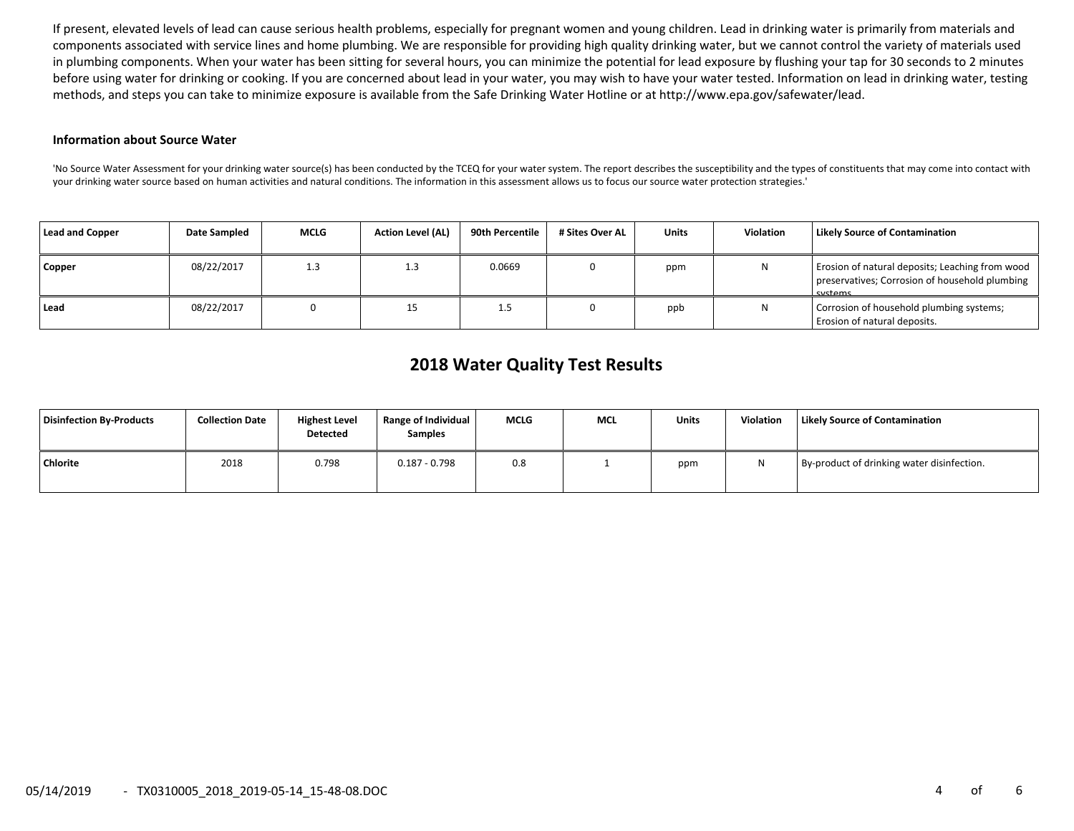If present, elevated levels of lead can cause serious health problems, especially for pregnant women and young children. Lead in drinking water is primarily from materials and components associated with service lines and home plumbing. We are responsible for providing high quality drinking water, but we cannot control the variety of materials used in plumbing components. When your water has been sitting for several hours, you can minimize the potential for lead exposure by flushing your tap for 30 seconds to 2 minutes before using water for drinking or cooking. If you are concerned about lead in your water, you may wish to have your water tested. Information on lead in drinking water, testing methods, and steps you can take to minimize exposure is available from the Safe Drinking Water Hotline or at http://www.epa.gov/safewater/lead.

### **Information about Source Water**

'No Source Water Assessment for your drinking water source(s) has been conducted by the TCEQ for your water system. The report describes the susceptibility and the types of constituents that may come into contact with your drinking water source based on human activities and natural conditions. The information in this assessment allows us to focus our source water protection strategies.'

| Lead and Copper | <b>Date Sampled</b> | <b>MCLG</b> | <b>Action Level (AL)</b> | 90th Percentile | # Sites Over AL | <b>Units</b> | <b>Violation</b> | <b>Likely Source of Contamination</b>                                                                        |
|-----------------|---------------------|-------------|--------------------------|-----------------|-----------------|--------------|------------------|--------------------------------------------------------------------------------------------------------------|
| Copper          | 08/22/2017          | 1.3         | 1.3                      | 0.0669          |                 | ppm          | N                | Erosion of natural deposits; Leaching from wood<br>preservatives; Corrosion of household plumbing<br>cyctome |
| Lead            | 08/22/2017          |             | 15                       | ر. 1            |                 | ppb          | N                | Corrosion of household plumbing systems;<br>Erosion of natural deposits.                                     |

# **2018 Water Quality Test Results**

| <b>Disinfection By-Products</b> | <b>Collection Date</b> | <b>Highest Level</b><br><b>Detected</b> | Range of Individual<br><b>Samples</b> | <b>MCLG</b> | <b>MCL</b> | <b>Units</b> | Violation | Likely Source of Contamination             |
|---------------------------------|------------------------|-----------------------------------------|---------------------------------------|-------------|------------|--------------|-----------|--------------------------------------------|
| <b>Chlorite</b>                 | 2018                   | 0.798                                   | $0.187 - 0.798$                       | 0.8         |            | ppm          |           | By-product of drinking water disinfection. |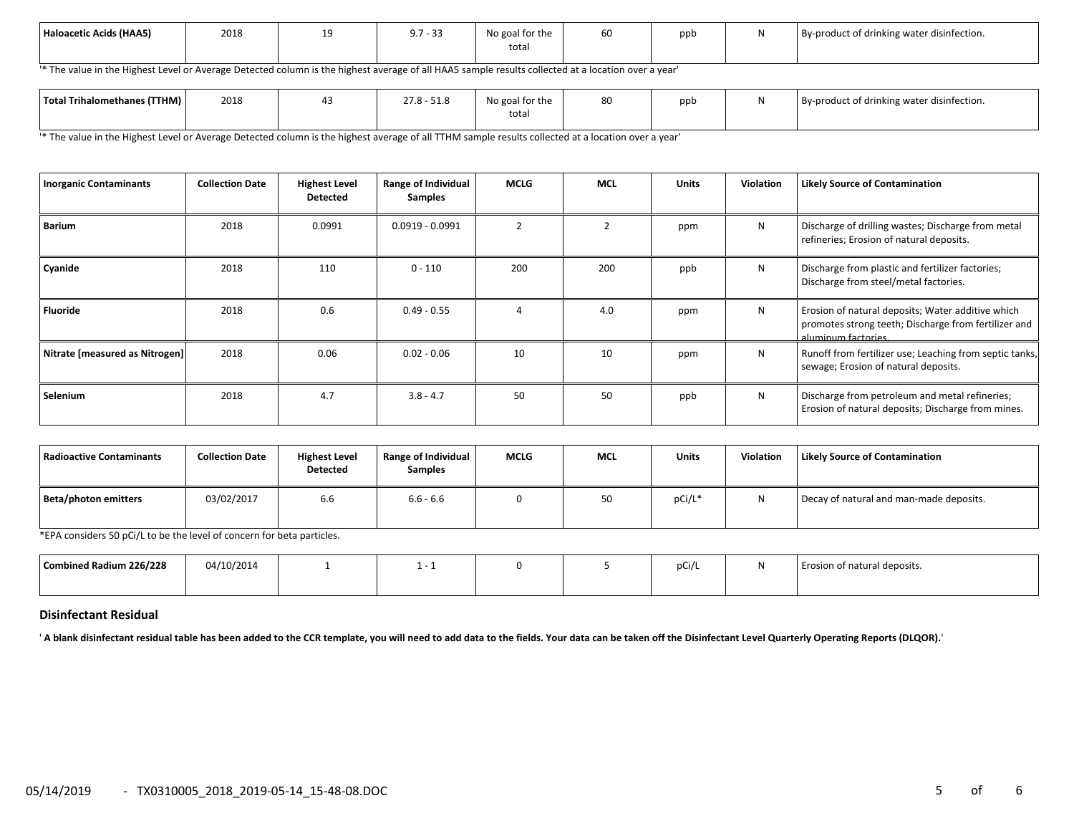| Haloacetic Acids (HAA5) | 2018 | -- | 073<br>7 - 33<br><b>J.I</b> | No goal for the<br>total | $ -$<br>60 | ppt | By-product of drinking water disinfection. |
|-------------------------|------|----|-----------------------------|--------------------------|------------|-----|--------------------------------------------|
|                         |      |    |                             |                          |            |     |                                            |

'\* The value in the Highest Level or Average Detected column is the highest average of all HAA5 sample results collected at a location over a year'

| Total Trihalomethanes (TTHM) | 2018 | $\Gamma$ 10<br>$27.8 - 51.8$ | No goal for the | oν | ppt | .<br>By-product of drinking water disinfection. |
|------------------------------|------|------------------------------|-----------------|----|-----|-------------------------------------------------|
|                              |      |                              | total           |    |     |                                                 |

'\* The value in the Highest Level or Average Detected column is the highest average of all TTHM sample results collected at a location over a year'

| <b>Inorganic Contaminants</b>  | <b>Collection Date</b> | <b>Highest Level</b><br><b>Detected</b> | <b>Range of Individual</b><br><b>Samples</b> | <b>MCLG</b> | <b>MCL</b> | <b>Units</b> | <b>Violation</b> | <b>Likely Source of Contamination</b>                                                                                            |
|--------------------------------|------------------------|-----------------------------------------|----------------------------------------------|-------------|------------|--------------|------------------|----------------------------------------------------------------------------------------------------------------------------------|
| <b>Barium</b>                  | 2018                   | 0.0991                                  | $0.0919 - 0.0991$                            |             | 2          | ppm          | N                | Discharge of drilling wastes; Discharge from metal<br>refineries; Erosion of natural deposits.                                   |
| Cyanide                        | 2018                   | 110                                     | $0 - 110$                                    | 200         | 200        | ppb          | N                | Discharge from plastic and fertilizer factories;<br>Discharge from steel/metal factories.                                        |
| Fluoride                       | 2018                   | 0.6                                     | $0.49 - 0.55$                                |             | 4.0        | ppm          | N                | Erosion of natural deposits; Water additive which<br>promotes strong teeth; Discharge from fertilizer and<br>aluminum factories. |
| Nitrate [measured as Nitrogen] | 2018                   | 0.06                                    | $0.02 - 0.06$                                | 10          | 10         | ppm          | N                | Runoff from fertilizer use; Leaching from septic tanks,<br>sewage; Erosion of natural deposits.                                  |
| Selenium                       | 2018                   | 4.7                                     | $3.8 - 4.7$                                  | 50          | 50         | ppb          | N                | Discharge from petroleum and metal refineries;<br>Erosion of natural deposits; Discharge from mines.                             |

| Radioactive Contaminants | <b>Collection Date</b> | <b>Highest Level</b><br>Detected | <b>Range of Individual</b><br><b>Samples</b> | <b>MCLG</b> | <b>MCL</b> | <b>Units</b> | <b>Violation</b> | <b>Likely Source of Contamination</b>   |
|--------------------------|------------------------|----------------------------------|----------------------------------------------|-------------|------------|--------------|------------------|-----------------------------------------|
| Beta/photon emitters     | 03/02/2017             | 6.6                              | $6.6 - 6.6$                                  |             | 50         | pCi/L*       | N                | Decay of natural and man-made deposits. |

\*EPA considers 50 pCi/L to be the level of concern for beta particles.

| Combined Radium 226/228 | 04/10/2014 |  |  | $\sim$ 0.1 $\sim$<br>pur | osion of natural deposits. |
|-------------------------|------------|--|--|--------------------------|----------------------------|
|                         |            |  |  |                          |                            |

### **Disinfectant Residual**

' **A blank disinfectant residual table has been added to the CCR template, you will need to add data to the fields. Your data can be taken off the Disinfectant Level Quarterly Operating Reports (DLQOR).**'